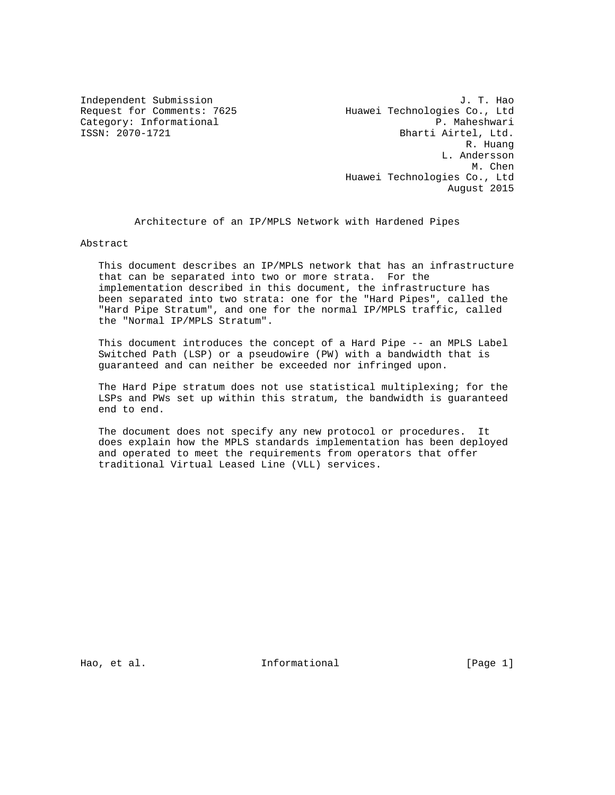Independent Submission<br>Request for Comments: 7625 Muawei Technologies Co., Ltd Huawei Technologies Co., Ltd Category: Informational and the set of the problem of the problem of the p. Maheshwari<br>
ISSN: 2070-1721 bharti Airtel, Ltd. Bharti Airtel, Ltd. R. Huang L. Andersson M. Chen Huawei Technologies Co., Ltd August 2015

Architecture of an IP/MPLS Network with Hardened Pipes

Abstract

 This document describes an IP/MPLS network that has an infrastructure that can be separated into two or more strata. For the implementation described in this document, the infrastructure has been separated into two strata: one for the "Hard Pipes", called the "Hard Pipe Stratum", and one for the normal IP/MPLS traffic, called the "Normal IP/MPLS Stratum".

 This document introduces the concept of a Hard Pipe -- an MPLS Label Switched Path (LSP) or a pseudowire (PW) with a bandwidth that is guaranteed and can neither be exceeded nor infringed upon.

 The Hard Pipe stratum does not use statistical multiplexing; for the LSPs and PWs set up within this stratum, the bandwidth is guaranteed end to end.

 The document does not specify any new protocol or procedures. It does explain how the MPLS standards implementation has been deployed and operated to meet the requirements from operators that offer traditional Virtual Leased Line (VLL) services.

Hao, et al.  $\qquad \qquad$  Informational  $\qquad \qquad$  [Page 1]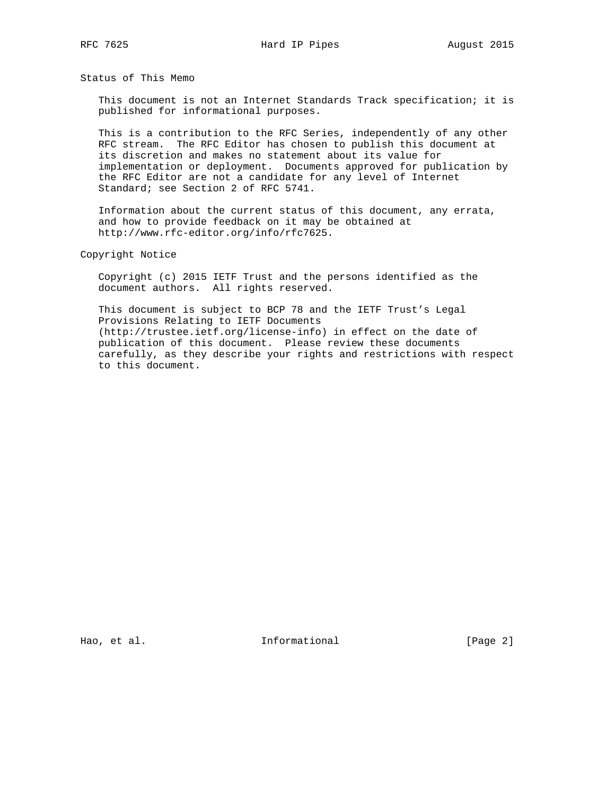Status of This Memo

 This document is not an Internet Standards Track specification; it is published for informational purposes.

 This is a contribution to the RFC Series, independently of any other RFC stream. The RFC Editor has chosen to publish this document at its discretion and makes no statement about its value for implementation or deployment. Documents approved for publication by the RFC Editor are not a candidate for any level of Internet Standard; see Section 2 of RFC 5741.

 Information about the current status of this document, any errata, and how to provide feedback on it may be obtained at http://www.rfc-editor.org/info/rfc7625.

Copyright Notice

 Copyright (c) 2015 IETF Trust and the persons identified as the document authors. All rights reserved.

 This document is subject to BCP 78 and the IETF Trust's Legal Provisions Relating to IETF Documents (http://trustee.ietf.org/license-info) in effect on the date of publication of this document. Please review these documents carefully, as they describe your rights and restrictions with respect to this document.

Hao, et al. 10 metal informational 1 metal [Page 2]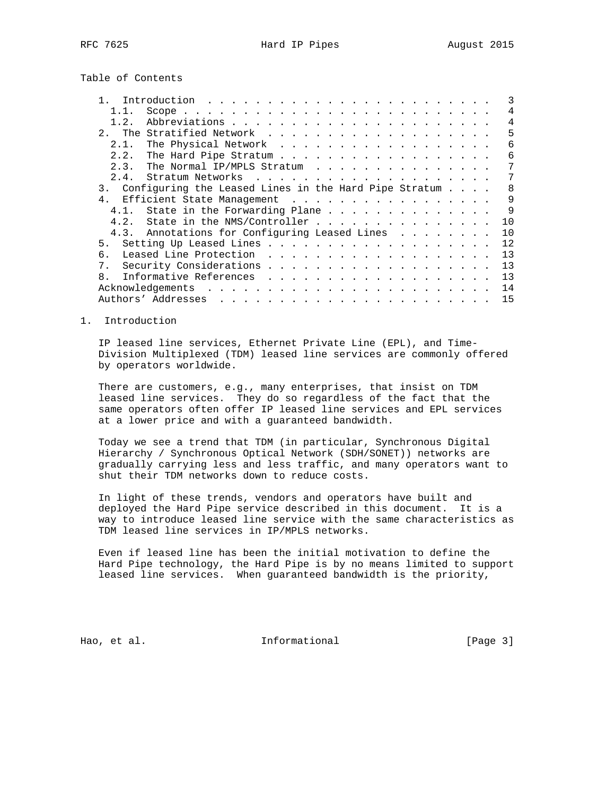Table of Contents

|                | Introduction $\ldots \ldots \ldots \ldots \ldots \ldots \ldots \ldots$ |                   |
|----------------|------------------------------------------------------------------------|-------------------|
|                |                                                                        | 4                 |
| 1.2.           |                                                                        | 4                 |
|                |                                                                        | 5                 |
| 2.1.           | The Physical Network                                                   | 6                 |
| 2.2.           | The Hard Pipe Stratum                                                  | 6                 |
| 2.3.           | The Normal IP/MPLS Stratum                                             | 7                 |
| 2.4.           |                                                                        | 7                 |
|                | 3. Configuring the Leased Lines in the Hard Pipe Stratum               | 8                 |
| 4 <sub>1</sub> | Efficient State Management                                             | $\mathsf{Q}$      |
|                | 4.1. State in the Forwarding Plane                                     | 9                 |
| 4.2.           | State in the NMS/Controller                                            | 10                |
|                | 4.3. Annotations for Configuring Leased Lines                          | 10                |
| 5.             |                                                                        | $12 \overline{ }$ |
| б.             |                                                                        | 13                |
|                |                                                                        | 13                |
| $\mathsf{R}$   |                                                                        | 13                |
|                |                                                                        | 14                |
|                |                                                                        | 15                |

### 1. Introduction

 IP leased line services, Ethernet Private Line (EPL), and Time- Division Multiplexed (TDM) leased line services are commonly offered by operators worldwide.

 There are customers, e.g., many enterprises, that insist on TDM leased line services. They do so regardless of the fact that the same operators often offer IP leased line services and EPL services at a lower price and with a guaranteed bandwidth.

 Today we see a trend that TDM (in particular, Synchronous Digital Hierarchy / Synchronous Optical Network (SDH/SONET)) networks are gradually carrying less and less traffic, and many operators want to shut their TDM networks down to reduce costs.

 In light of these trends, vendors and operators have built and deployed the Hard Pipe service described in this document. It is a way to introduce leased line service with the same characteristics as TDM leased line services in IP/MPLS networks.

 Even if leased line has been the initial motivation to define the Hard Pipe technology, the Hard Pipe is by no means limited to support leased line services. When guaranteed bandwidth is the priority,

Hao, et al. 10 mm informational 11 mm informational [Page 3]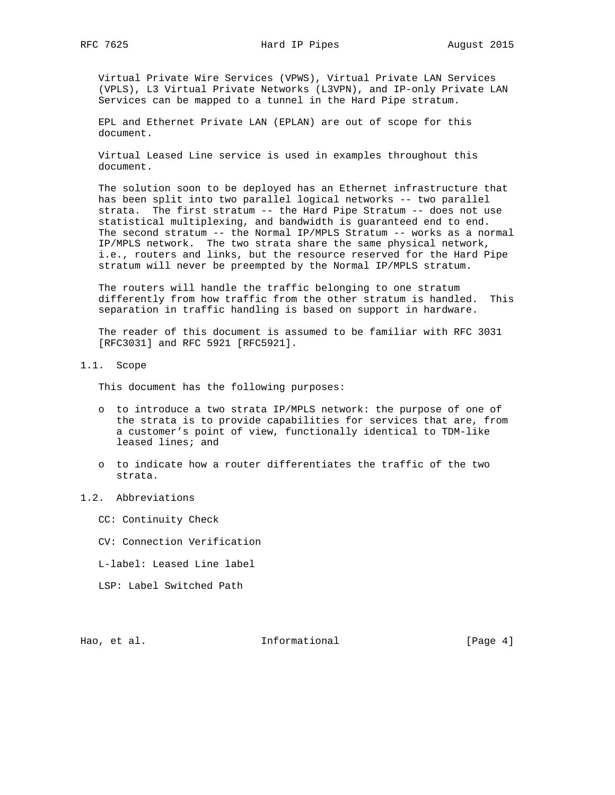Virtual Private Wire Services (VPWS), Virtual Private LAN Services (VPLS), L3 Virtual Private Networks (L3VPN), and IP-only Private LAN Services can be mapped to a tunnel in the Hard Pipe stratum.

 EPL and Ethernet Private LAN (EPLAN) are out of scope for this document.

 Virtual Leased Line service is used in examples throughout this document.

 The solution soon to be deployed has an Ethernet infrastructure that has been split into two parallel logical networks -- two parallel strata. The first stratum -- the Hard Pipe Stratum -- does not use statistical multiplexing, and bandwidth is guaranteed end to end. The second stratum -- the Normal IP/MPLS Stratum -- works as a normal IP/MPLS network. The two strata share the same physical network, i.e., routers and links, but the resource reserved for the Hard Pipe stratum will never be preempted by the Normal IP/MPLS stratum.

 The routers will handle the traffic belonging to one stratum differently from how traffic from the other stratum is handled. This separation in traffic handling is based on support in hardware.

 The reader of this document is assumed to be familiar with RFC 3031 [RFC3031] and RFC 5921 [RFC5921].

1.1. Scope

This document has the following purposes:

- o to introduce a two strata IP/MPLS network: the purpose of one of the strata is to provide capabilities for services that are, from a customer's point of view, functionally identical to TDM-like leased lines; and
- o to indicate how a router differentiates the traffic of the two strata.
- 1.2. Abbreviations
	- CC: Continuity Check
	- CV: Connection Verification
	- L-label: Leased Line label
	- LSP: Label Switched Path

Hao, et al. **Informational** [Page 4]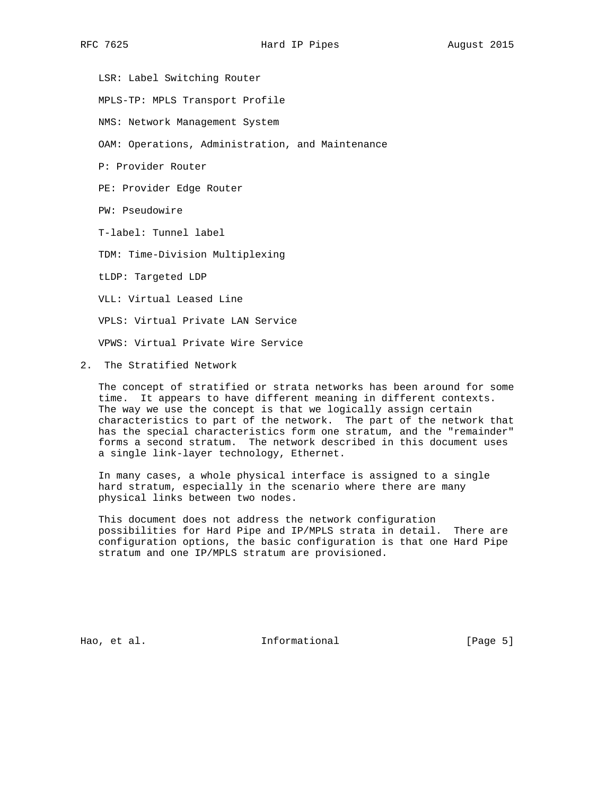LSR: Label Switching Router MPLS-TP: MPLS Transport Profile NMS: Network Management System OAM: Operations, Administration, and Maintenance P: Provider Router PE: Provider Edge Router PW: Pseudowire T-label: Tunnel label TDM: Time-Division Multiplexing tLDP: Targeted LDP VLL: Virtual Leased Line VPLS: Virtual Private LAN Service VPWS: Virtual Private Wire Service

2. The Stratified Network

 The concept of stratified or strata networks has been around for some time. It appears to have different meaning in different contexts. The way we use the concept is that we logically assign certain characteristics to part of the network. The part of the network that has the special characteristics form one stratum, and the "remainder" forms a second stratum. The network described in this document uses a single link-layer technology, Ethernet.

 In many cases, a whole physical interface is assigned to a single hard stratum, especially in the scenario where there are many physical links between two nodes.

 This document does not address the network configuration possibilities for Hard Pipe and IP/MPLS strata in detail. There are configuration options, the basic configuration is that one Hard Pipe stratum and one IP/MPLS stratum are provisioned.

Hao, et al. Informational [Page 5]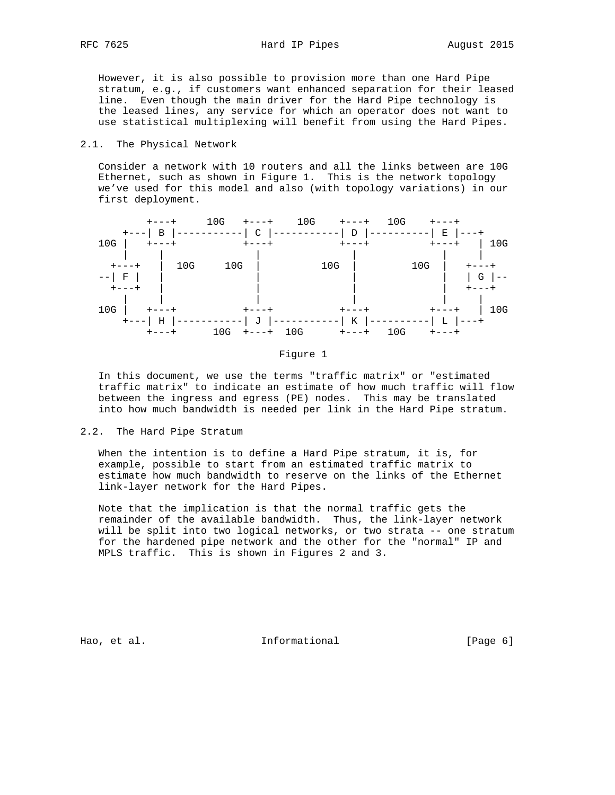However, it is also possible to provision more than one Hard Pipe stratum, e.g., if customers want enhanced separation for their leased line. Even though the main driver for the Hard Pipe technology is the leased lines, any service for which an operator does not want to use statistical multiplexing will benefit from using the Hard Pipes.

### 2.1. The Physical Network

 Consider a network with 10 routers and all the links between are 10G Ethernet, such as shown in Figure 1. This is the network topology we've used for this model and also (with topology variations) in our first deployment.



Figure 1

 In this document, we use the terms "traffic matrix" or "estimated traffic matrix" to indicate an estimate of how much traffic will flow between the ingress and egress (PE) nodes. This may be translated into how much bandwidth is needed per link in the Hard Pipe stratum.

### 2.2. The Hard Pipe Stratum

 When the intention is to define a Hard Pipe stratum, it is, for example, possible to start from an estimated traffic matrix to estimate how much bandwidth to reserve on the links of the Ethernet link-layer network for the Hard Pipes.

 Note that the implication is that the normal traffic gets the remainder of the available bandwidth. Thus, the link-layer network will be split into two logical networks, or two strata -- one stratum for the hardened pipe network and the other for the "normal" IP and MPLS traffic. This is shown in Figures 2 and 3.

Hao, et al. Informational [Page 6]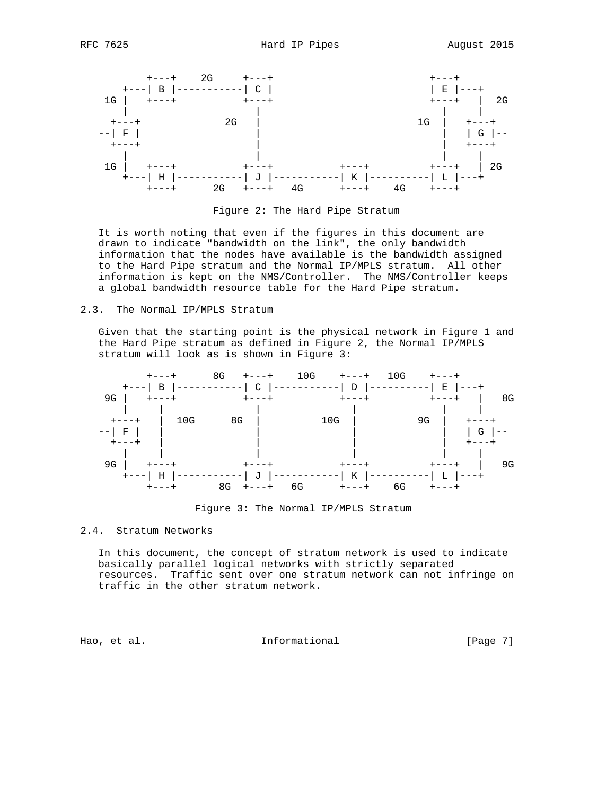

Figure 2: The Hard Pipe Stratum

 It is worth noting that even if the figures in this document are drawn to indicate "bandwidth on the link", the only bandwidth information that the nodes have available is the bandwidth assigned to the Hard Pipe stratum and the Normal IP/MPLS stratum. All other information is kept on the NMS/Controller. The NMS/Controller keeps a global bandwidth resource table for the Hard Pipe stratum.

2.3. The Normal IP/MPLS Stratum

 Given that the starting point is the physical network in Figure 1 and the Hard Pipe stratum as defined in Figure 2, the Normal IP/MPLS stratum will look as is shown in Figure 3:



Figure 3: The Normal IP/MPLS Stratum

# 2.4. Stratum Networks

 In this document, the concept of stratum network is used to indicate basically parallel logical networks with strictly separated resources. Traffic sent over one stratum network can not infringe on traffic in the other stratum network.

Hao, et al. Informational [Page 7]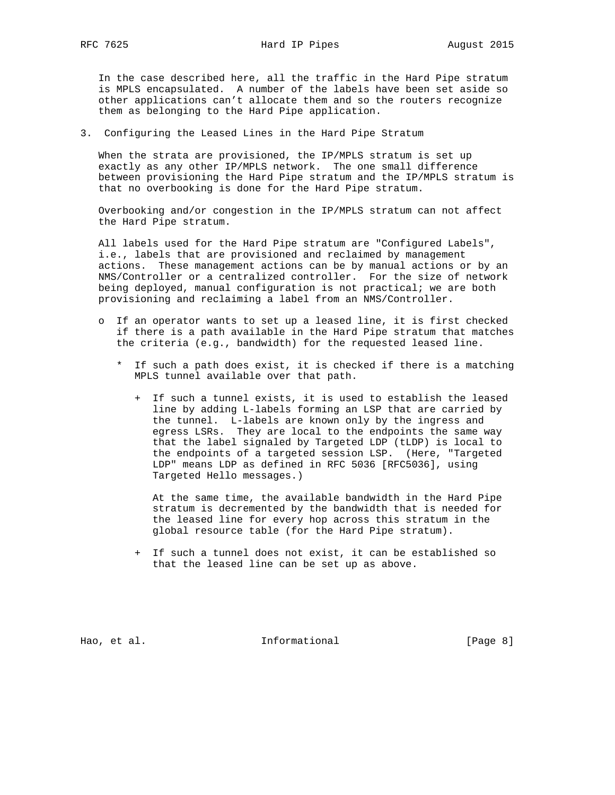In the case described here, all the traffic in the Hard Pipe stratum is MPLS encapsulated. A number of the labels have been set aside so other applications can't allocate them and so the routers recognize them as belonging to the Hard Pipe application.

3. Configuring the Leased Lines in the Hard Pipe Stratum

 When the strata are provisioned, the IP/MPLS stratum is set up exactly as any other IP/MPLS network. The one small difference between provisioning the Hard Pipe stratum and the IP/MPLS stratum is that no overbooking is done for the Hard Pipe stratum.

 Overbooking and/or congestion in the IP/MPLS stratum can not affect the Hard Pipe stratum.

 All labels used for the Hard Pipe stratum are "Configured Labels", i.e., labels that are provisioned and reclaimed by management actions. These management actions can be by manual actions or by an NMS/Controller or a centralized controller. For the size of network being deployed, manual configuration is not practical; we are both provisioning and reclaiming a label from an NMS/Controller.

- o If an operator wants to set up a leased line, it is first checked if there is a path available in the Hard Pipe stratum that matches the criteria (e.g., bandwidth) for the requested leased line.
	- \* If such a path does exist, it is checked if there is a matching MPLS tunnel available over that path.
		- + If such a tunnel exists, it is used to establish the leased line by adding L-labels forming an LSP that are carried by the tunnel. L-labels are known only by the ingress and egress LSRs. They are local to the endpoints the same way that the label signaled by Targeted LDP (tLDP) is local to the endpoints of a targeted session LSP. (Here, "Targeted LDP" means LDP as defined in RFC 5036 [RFC5036], using Targeted Hello messages.)

 At the same time, the available bandwidth in the Hard Pipe stratum is decremented by the bandwidth that is needed for the leased line for every hop across this stratum in the global resource table (for the Hard Pipe stratum).

 + If such a tunnel does not exist, it can be established so that the leased line can be set up as above.

Hao, et al. Informational [Page 8]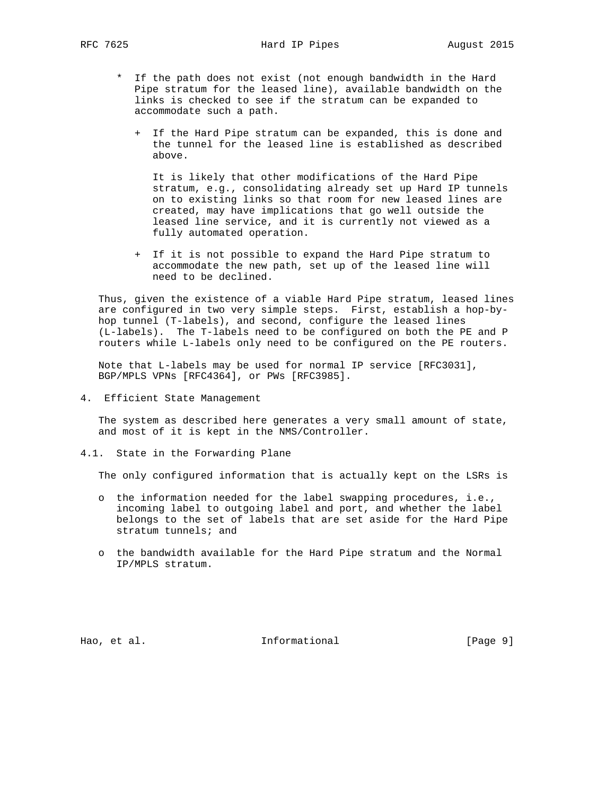RFC 7625 **Hard IP Pipes** August 2015

- \* If the path does not exist (not enough bandwidth in the Hard Pipe stratum for the leased line), available bandwidth on the links is checked to see if the stratum can be expanded to accommodate such a path.
	- + If the Hard Pipe stratum can be expanded, this is done and the tunnel for the leased line is established as described above.

 It is likely that other modifications of the Hard Pipe stratum, e.g., consolidating already set up Hard IP tunnels on to existing links so that room for new leased lines are created, may have implications that go well outside the leased line service, and it is currently not viewed as a fully automated operation.

 + If it is not possible to expand the Hard Pipe stratum to accommodate the new path, set up of the leased line will need to be declined.

 Thus, given the existence of a viable Hard Pipe stratum, leased lines are configured in two very simple steps. First, establish a hop-by hop tunnel (T-labels), and second, configure the leased lines (L-labels). The T-labels need to be configured on both the PE and P routers while L-labels only need to be configured on the PE routers.

 Note that L-labels may be used for normal IP service [RFC3031], BGP/MPLS VPNs [RFC4364], or PWs [RFC3985].

4. Efficient State Management

 The system as described here generates a very small amount of state, and most of it is kept in the NMS/Controller.

4.1. State in the Forwarding Plane

The only configured information that is actually kept on the LSRs is

- o the information needed for the label swapping procedures, i.e., incoming label to outgoing label and port, and whether the label belongs to the set of labels that are set aside for the Hard Pipe stratum tunnels; and
- o the bandwidth available for the Hard Pipe stratum and the Normal IP/MPLS stratum.

Hao, et al. Informational [Page 9]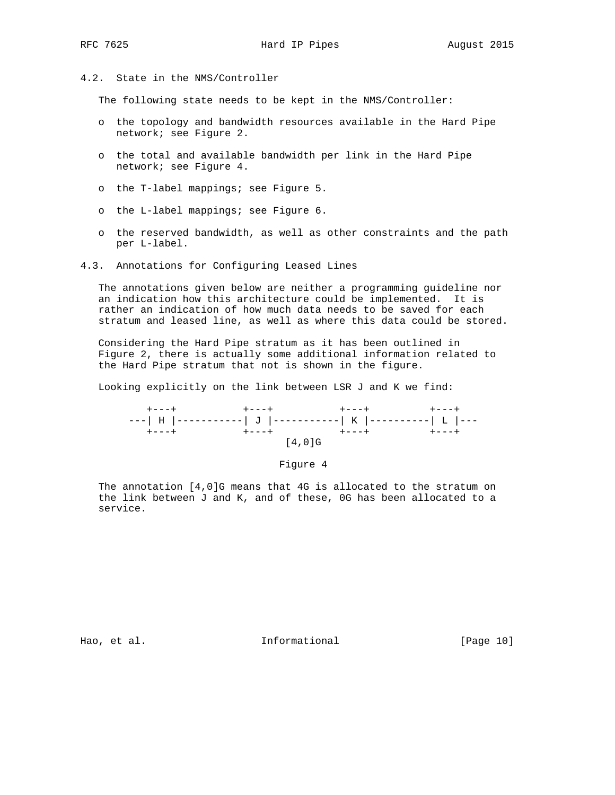4.2. State in the NMS/Controller

The following state needs to be kept in the NMS/Controller:

- o the topology and bandwidth resources available in the Hard Pipe network; see Figure 2.
- o the total and available bandwidth per link in the Hard Pipe network; see Figure 4.
- o the T-label mappings; see Figure 5.
- o the L-label mappings; see Figure 6.
- o the reserved bandwidth, as well as other constraints and the path per L-label.
- 4.3. Annotations for Configuring Leased Lines

 The annotations given below are neither a programming guideline nor an indication how this architecture could be implemented. It is rather an indication of how much data needs to be saved for each stratum and leased line, as well as where this data could be stored.

 Considering the Hard Pipe stratum as it has been outlined in Figure 2, there is actually some additional information related to the Hard Pipe stratum that not is shown in the figure.

Looking explicitly on the link between LSR J and K we find:

| $+ - - - +$ |           |  |
|-------------|-----------|--|
|             |           |  |
| $+ - - - +$ |           |  |
|             | $[4.0]$ G |  |

#### Figure 4

 The annotation [4,0]G means that 4G is allocated to the stratum on the link between J and K, and of these, 0G has been allocated to a service.

Hao, et al. 10 metal informational and the same state of the set of the set of the set of the set of the set o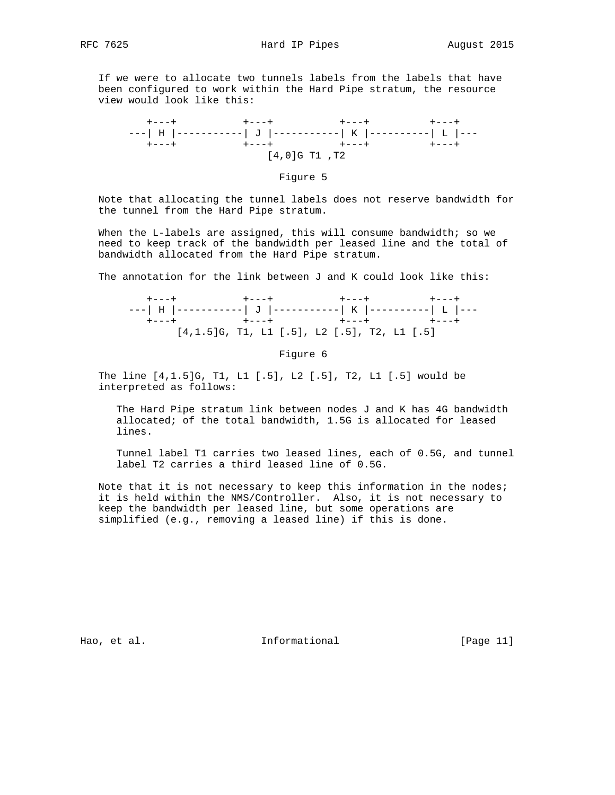If we were to allocate two tunnels labels from the labels that have been configured to work within the Hard Pipe stratum, the resource view would look like this:



### Figure 5

 Note that allocating the tunnel labels does not reserve bandwidth for the tunnel from the Hard Pipe stratum.

When the L-labels are assigned, this will consume bandwidth; so we need to keep track of the bandwidth per leased line and the total of bandwidth allocated from the Hard Pipe stratum.

The annotation for the link between J and K could look like this:

 +---+ +---+ +---+ +---+ ---| H |-----------| J |-----------| K |----------| L |--- +---+ +---+ +---+ +---+ [4,1.5]G, T1, L1 [.5], L2 [.5], T2, L1 [.5]

#### Figure 6

 The line [4,1.5]G, T1, L1 [.5], L2 [.5], T2, L1 [.5] would be interpreted as follows:

 The Hard Pipe stratum link between nodes J and K has 4G bandwidth allocated; of the total bandwidth, 1.5G is allocated for leased lines.

 Tunnel label T1 carries two leased lines, each of 0.5G, and tunnel label T2 carries a third leased line of 0.5G.

 Note that it is not necessary to keep this information in the nodes; it is held within the NMS/Controller. Also, it is not necessary to keep the bandwidth per leased line, but some operations are simplified (e.g., removing a leased line) if this is done.

Hao, et al. Informational [Page 11]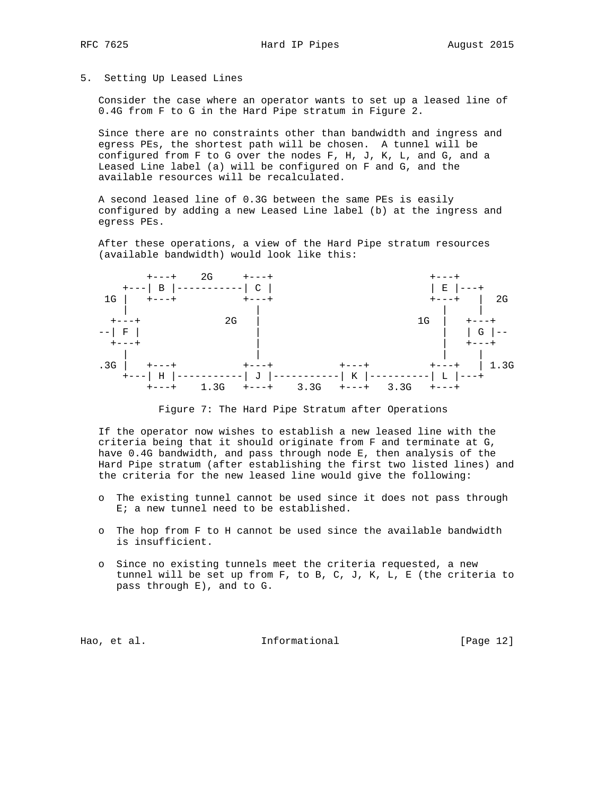### 5. Setting Up Leased Lines

 Consider the case where an operator wants to set up a leased line of 0.4G from F to G in the Hard Pipe stratum in Figure 2.

 Since there are no constraints other than bandwidth and ingress and egress PEs, the shortest path will be chosen. A tunnel will be configured from F to G over the nodes F, H, J, K, L, and G, and a Leased Line label (a) will be configured on F and G, and the available resources will be recalculated.

 A second leased line of 0.3G between the same PEs is easily configured by adding a new Leased Line label (b) at the ingress and egress PEs.

 After these operations, a view of the Hard Pipe stratum resources (available bandwidth) would look like this:



Figure 7: The Hard Pipe Stratum after Operations

 If the operator now wishes to establish a new leased line with the criteria being that it should originate from F and terminate at G, have 0.4G bandwidth, and pass through node E, then analysis of the Hard Pipe stratum (after establishing the first two listed lines) and the criteria for the new leased line would give the following:

- o The existing tunnel cannot be used since it does not pass through E; a new tunnel need to be established.
- o The hop from F to H cannot be used since the available bandwidth is insufficient.
- o Since no existing tunnels meet the criteria requested, a new tunnel will be set up from F, to B, C, J, K, L, E (the criteria to pass through E), and to G.

Hao, et al. Informational [Page 12]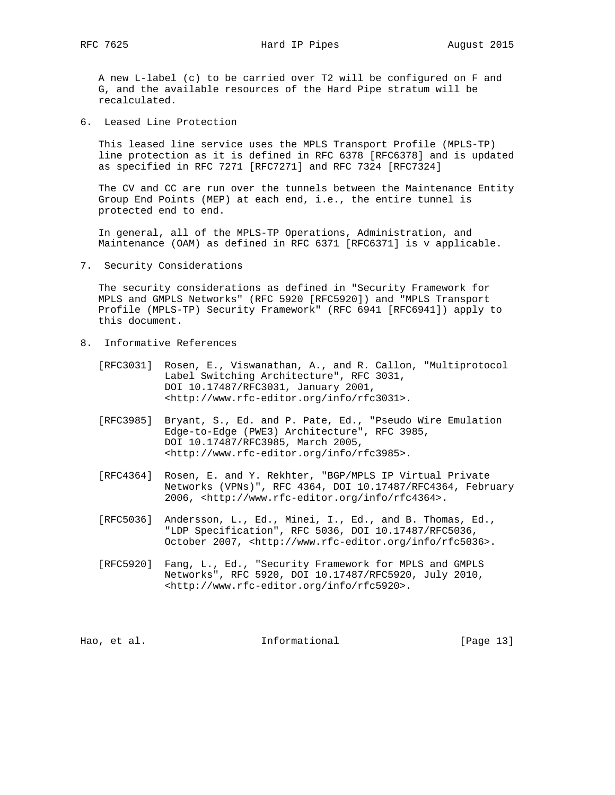RFC 7625 **Hard IP Pipes** August 2015

 A new L-label (c) to be carried over T2 will be configured on F and G, and the available resources of the Hard Pipe stratum will be recalculated.

6. Leased Line Protection

 This leased line service uses the MPLS Transport Profile (MPLS-TP) line protection as it is defined in RFC 6378 [RFC6378] and is updated as specified in RFC 7271 [RFC7271] and RFC 7324 [RFC7324]

 The CV and CC are run over the tunnels between the Maintenance Entity Group End Points (MEP) at each end, i.e., the entire tunnel is protected end to end.

 In general, all of the MPLS-TP Operations, Administration, and Maintenance (OAM) as defined in RFC 6371 [RFC6371] is v applicable.

7. Security Considerations

 The security considerations as defined in "Security Framework for MPLS and GMPLS Networks" (RFC 5920 [RFC5920]) and "MPLS Transport Profile (MPLS-TP) Security Framework" (RFC 6941 [RFC6941]) apply to this document.

- 8. Informative References
	- [RFC3031] Rosen, E., Viswanathan, A., and R. Callon, "Multiprotocol Label Switching Architecture", RFC 3031, DOI 10.17487/RFC3031, January 2001, <http://www.rfc-editor.org/info/rfc3031>.
	- [RFC3985] Bryant, S., Ed. and P. Pate, Ed., "Pseudo Wire Emulation Edge-to-Edge (PWE3) Architecture", RFC 3985, DOI 10.17487/RFC3985, March 2005, <http://www.rfc-editor.org/info/rfc3985>.
	- [RFC4364] Rosen, E. and Y. Rekhter, "BGP/MPLS IP Virtual Private Networks (VPNs)", RFC 4364, DOI 10.17487/RFC4364, February 2006, <http://www.rfc-editor.org/info/rfc4364>.
	- [RFC5036] Andersson, L., Ed., Minei, I., Ed., and B. Thomas, Ed., "LDP Specification", RFC 5036, DOI 10.17487/RFC5036, October 2007, <http://www.rfc-editor.org/info/rfc5036>.
	- [RFC5920] Fang, L., Ed., "Security Framework for MPLS and GMPLS Networks", RFC 5920, DOI 10.17487/RFC5920, July 2010, <http://www.rfc-editor.org/info/rfc5920>.

Hao, et al. 10. Informational [Page 13]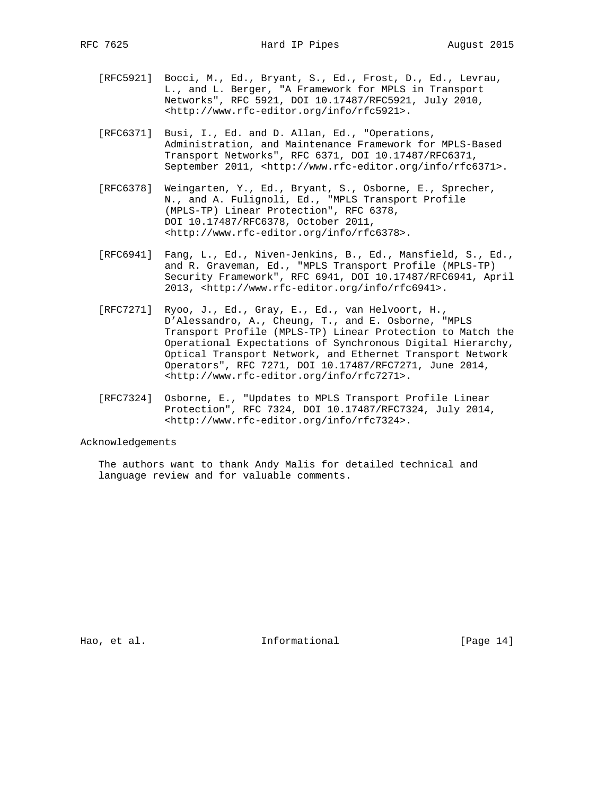- [RFC5921] Bocci, M., Ed., Bryant, S., Ed., Frost, D., Ed., Levrau, L., and L. Berger, "A Framework for MPLS in Transport Networks", RFC 5921, DOI 10.17487/RFC5921, July 2010, <http://www.rfc-editor.org/info/rfc5921>.
- [RFC6371] Busi, I., Ed. and D. Allan, Ed., "Operations, Administration, and Maintenance Framework for MPLS-Based Transport Networks", RFC 6371, DOI 10.17487/RFC6371, September 2011, <http://www.rfc-editor.org/info/rfc6371>.
- [RFC6378] Weingarten, Y., Ed., Bryant, S., Osborne, E., Sprecher, N., and A. Fulignoli, Ed., "MPLS Transport Profile (MPLS-TP) Linear Protection", RFC 6378, DOI 10.17487/RFC6378, October 2011, <http://www.rfc-editor.org/info/rfc6378>.
- [RFC6941] Fang, L., Ed., Niven-Jenkins, B., Ed., Mansfield, S., Ed., and R. Graveman, Ed., "MPLS Transport Profile (MPLS-TP) Security Framework", RFC 6941, DOI 10.17487/RFC6941, April 2013, <http://www.rfc-editor.org/info/rfc6941>.
- [RFC7271] Ryoo, J., Ed., Gray, E., Ed., van Helvoort, H., D'Alessandro, A., Cheung, T., and E. Osborne, "MPLS Transport Profile (MPLS-TP) Linear Protection to Match the Operational Expectations of Synchronous Digital Hierarchy, Optical Transport Network, and Ethernet Transport Network Operators", RFC 7271, DOI 10.17487/RFC7271, June 2014, <http://www.rfc-editor.org/info/rfc7271>.
- [RFC7324] Osborne, E., "Updates to MPLS Transport Profile Linear Protection", RFC 7324, DOI 10.17487/RFC7324, July 2014, <http://www.rfc-editor.org/info/rfc7324>.

## Acknowledgements

 The authors want to thank Andy Malis for detailed technical and language review and for valuable comments.

Hao, et al. 10. Informational [Page 14]